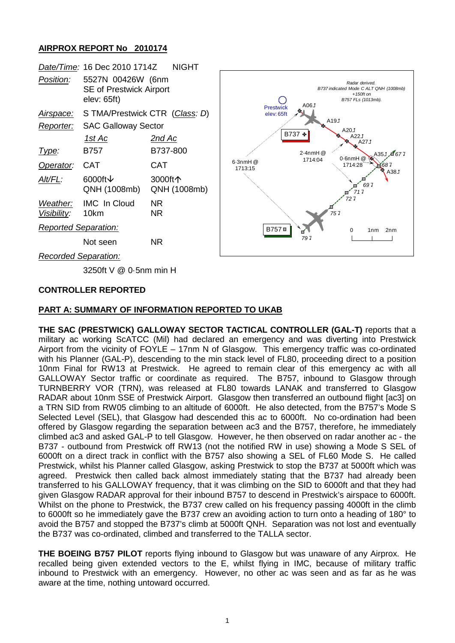## **AIRPROX REPORT No 2010174**

|                             | Date/Time: 16 Dec 2010 1714Z                                       | <b>NIGHT</b>            |                                |                 |                                                                                                |
|-----------------------------|--------------------------------------------------------------------|-------------------------|--------------------------------|-----------------|------------------------------------------------------------------------------------------------|
| Position:                   | 5527N 00426W (6nm<br><b>SE of Prestwick Airport</b><br>elev: 65ft) |                         |                                | L00A            | Radar derived.<br>B737 indicated Mode C ALT QNH (1008mb)<br>$+150$ ft on<br>B757 FLs (1013mb). |
| Airspace:                   | S TMA/Prestwick CTR (Class: D)                                     |                         | <b>Prestwick</b><br>elev: 65ft |                 |                                                                                                |
| Reporter:                   | <b>SAC Galloway Sector</b>                                         |                         | A191<br>A201                   |                 |                                                                                                |
|                             | <u> 1st Ac</u>                                                     | <u>2nd Ac</u>           |                                | B737 +<br>A22.1 | A271                                                                                           |
| Type:                       | B757                                                               | B737-800                |                                | $2.4$ nmH $@$   | A351, 1677                                                                                     |
| Operator:                   | <b>CAT</b>                                                         | <b>CAT</b>              | $6.3$ nmH $@$<br>1713:15       | 1714:04         | $0.6$ nmH $@$<br>1714:28<br>1687<br>A381                                                       |
| Alt/FL:                     | 6000ft $\downarrow$<br>QNH (1008mb)                                | 3000ft个<br>QNH (1008mb) |                                |                 | 697<br>717                                                                                     |
| Weather:<br>Visibility:     | <b>IMC</b> In Cloud<br>10km                                        | NR.<br>NR.              |                                |                 | 727<br>757                                                                                     |
| <b>Reported Separation:</b> |                                                                    |                         | B757 <sup>=</sup>              |                 | 0<br>2 <sub>nm</sub><br>1 <sub>nm</sub>                                                        |
|                             | Not seen                                                           | NR.                     |                                | 797             |                                                                                                |
| <b>Recorded Separation:</b> |                                                                    |                         |                                |                 |                                                                                                |
|                             |                                                                    |                         |                                |                 |                                                                                                |

3250ft V @ 0·5nm min H

#### **CONTROLLER REPORTED**

#### **PART A: SUMMARY OF INFORMATION REPORTED TO UKAB**

**THE SAC (PRESTWICK) GALLOWAY SECTOR TACTICAL CONTROLLER (GAL-T)** reports that a military ac working ScATCC (Mil) had declared an emergency and was diverting into Prestwick Airport from the vicinity of FOYLE – 17nm N of Glasgow. This emergency traffic was co-ordinated with his Planner (GAL-P), descending to the min stack level of FL80, proceeding direct to a position 10nm Final for RW13 at Prestwick. He agreed to remain clear of this emergency ac with all GALLOWAY Sector traffic or coordinate as required. The B757, inbound to Glasgow through TURNBERRY VOR (TRN), was released at FL80 towards LANAK and transferred to Glasgow RADAR about 10nm SSE of Prestwick Airport. Glasgow then transferred an outbound flight [ac3] on a TRN SID from RW05 climbing to an altitude of 6000ft. He also detected, from the B757's Mode S Selected Level (SEL), that Glasgow had descended this ac to 6000ft. No co-ordination had been offered by Glasgow regarding the separation between ac3 and the B757, therefore, he immediately climbed ac3 and asked GAL-P to tell Glasgow. However, he then observed on radar another ac - the B737 - outbound from Prestwick off RW13 (not the notified RW in use) showing a Mode S SEL of 6000ft on a direct track in conflict with the B757 also showing a SEL of FL60 Mode S. He called Prestwick, whilst his Planner called Glasgow, asking Prestwick to stop the B737 at 5000ft which was agreed. Prestwick then called back almost immediately stating that the B737 had already been transferred to his GALLOWAY frequency, that it was climbing on the SID to 6000ft and that they had given Glasgow RADAR approval for their inbound B757 to descend in Prestwick's airspace to 6000ft. Whilst on the phone to Prestwick, the B737 crew called on his frequency passing 4000ft in the climb to 6000ft so he immediately gave the B737 crew an avoiding action to turn onto a heading of 180° to avoid the B757 and stopped the B737's climb at 5000ft QNH. Separation was not lost and eventually the B737 was co-ordinated, climbed and transferred to the TALLA sector.

**THE BOEING B757 PILOT** reports flying inbound to Glasgow but was unaware of any Airprox. He recalled being given extended vectors to the E, whilst flying in IMC, because of military traffic inbound to Prestwick with an emergency. However, no other ac was seen and as far as he was aware at the time, nothing untoward occurred.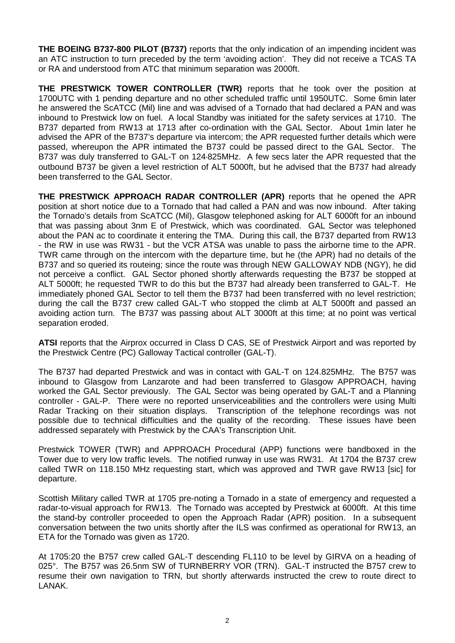**THE BOEING B737-800 PILOT (B737)** reports that the only indication of an impending incident was an ATC instruction to turn preceded by the term 'avoiding action'. They did not receive a TCAS TA or RA and understood from ATC that minimum separation was 2000ft.

**THE PRESTWICK TOWER CONTROLLER (TWR)** reports that he took over the position at 1700UTC with 1 pending departure and no other scheduled traffic until 1950UTC. Some 6min later he answered the ScATCC (Mil) line and was advised of a Tornado that had declared a PAN and was inbound to Prestwick low on fuel. A local Standby was initiated for the safety services at 1710. The B737 departed from RW13 at 1713 after co-ordination with the GAL Sector. About 1min later he advised the APR of the B737's departure via intercom; the APR requested further details which were passed, whereupon the APR intimated the B737 could be passed direct to the GAL Sector. The B737 was duly transferred to GAL-T on 124·825MHz. A few secs later the APR requested that the outbound B737 be given a level restriction of ALT 5000ft, but he advised that the B737 had already been transferred to the GAL Sector.

**THE PRESTWICK APPROACH RADAR CONTROLLER (APR)** reports that he opened the APR position at short notice due to a Tornado that had called a PAN and was now inbound. After taking the Tornado's details from ScATCC (Mil), Glasgow telephoned asking for ALT 6000ft for an inbound that was passing about 3nm E of Prestwick, which was coordinated. GAL Sector was telephoned about the PAN ac to coordinate it entering the TMA. During this call, the B737 departed from RW13 - the RW in use was RW31 - but the VCR ATSA was unable to pass the airborne time to the APR. TWR came through on the intercom with the departure time, but he (the APR) had no details of the B737 and so queried its routeing; since the route was through NEW GALLOWAY NDB (NGY), he did not perceive a conflict. GAL Sector phoned shortly afterwards requesting the B737 be stopped at ALT 5000ft; he requested TWR to do this but the B737 had already been transferred to GAL-T. He immediately phoned GAL Sector to tell them the B737 had been transferred with no level restriction; during the call the B737 crew called GAL-T who stopped the climb at ALT 5000ft and passed an avoiding action turn. The B737 was passing about ALT 3000ft at this time; at no point was vertical separation eroded.

**ATSI** reports that the Airprox occurred in Class D CAS, SE of Prestwick Airport and was reported by the Prestwick Centre (PC) Galloway Tactical controller (GAL-T).

The B737 had departed Prestwick and was in contact with GAL-T on 124.825MHz. The B757 was inbound to Glasgow from Lanzarote and had been transferred to Glasgow APPROACH, having worked the GAL Sector previously. The GAL Sector was being operated by GAL-T and a Planning controller - GAL-P. There were no reported unserviceabilities and the controllers were using Multi Radar Tracking on their situation displays. Transcription of the telephone recordings was not possible due to technical difficulties and the quality of the recording. These issues have been addressed separately with Prestwick by the CAA's Transcription Unit.

Prestwick TOWER (TWR) and APPROACH Procedural (APP) functions were bandboxed in the Tower due to very low traffic levels. The notified runway in use was RW31. At 1704 the B737 crew called TWR on 118.150 MHz requesting start, which was approved and TWR gave RW13 [sic] for departure.

Scottish Military called TWR at 1705 pre-noting a Tornado in a state of emergency and requested a radar-to-visual approach for RW13. The Tornado was accepted by Prestwick at 6000ft. At this time the stand-by controller proceeded to open the Approach Radar (APR) position. In a subsequent conversation between the two units shortly after the ILS was confirmed as operational for RW13, an ETA for the Tornado was given as 1720.

At 1705:20 the B757 crew called GAL-T descending FL110 to be level by GIRVA on a heading of 025°. The B757 was 26.5nm SW of TURNBERRY VOR (TRN). GAL-T instructed the B757 crew to resume their own navigation to TRN, but shortly afterwards instructed the crew to route direct to LANAK.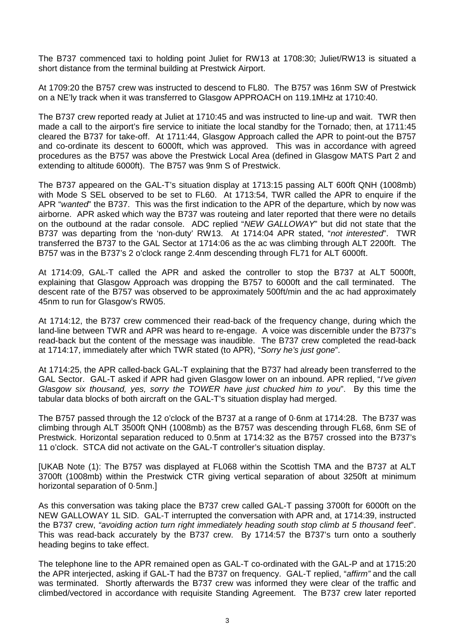The B737 commenced taxi to holding point Juliet for RW13 at 1708:30; Juliet/RW13 is situated a short distance from the terminal building at Prestwick Airport.

At 1709:20 the B757 crew was instructed to descend to FL80. The B757 was 16nm SW of Prestwick on a NE'ly track when it was transferred to Glasgow APPROACH on 119.1MHz at 1710:40.

The B737 crew reported ready at Juliet at 1710:45 and was instructed to line-up and wait. TWR then made a call to the airport's fire service to initiate the local standby for the Tornado; then, at 1711:45 cleared the B737 for take-off. At 1711:44, Glasgow Approach called the APR to point-out the B757 and co-ordinate its descent to 6000ft, which was approved. This was in accordance with agreed procedures as the B757 was above the Prestwick Local Area (defined in Glasgow MATS Part 2 and extending to altitude 6000ft). The B757 was 9nm S of Prestwick.

The B737 appeared on the GAL-T's situation display at 1713:15 passing ALT 600ft QNH (1008mb) with Mode S SEL observed to be set to FL60. At 1713:54, TWR called the APR to enquire if the APR "*wanted*" the B737. This was the first indication to the APR of the departure, which by now was airborne. APR asked which way the B737 was routeing and later reported that there were no details on the outbound at the radar console. ADC replied "*NEW GALLOWAY*" but did not state that the B737 was departing from the 'non-duty' RW13. At 1714:04 APR stated, "*not interested*". TWR transferred the B737 to the GAL Sector at 1714:06 as the ac was climbing through ALT 2200ft. The B757 was in the B737's 2 o'clock range 2.4nm descending through FL71 for ALT 6000ft.

At 1714:09, GAL-T called the APR and asked the controller to stop the B737 at ALT 5000ft, explaining that Glasgow Approach was dropping the B757 to 6000ft and the call terminated. The descent rate of the B757 was observed to be approximately 500ft/min and the ac had approximately 45nm to run for Glasgow's RW05.

At 1714:12, the B737 crew commenced their read-back of the frequency change, during which the land-line between TWR and APR was heard to re-engage. A voice was discernible under the B737's read-back but the content of the message was inaudible. The B737 crew completed the read-back at 1714:17, immediately after which TWR stated (to APR), "*Sorry he's just gone*".

At 1714:25, the APR called-back GAL-T explaining that the B737 had already been transferred to the GAL Sector. GAL-T asked if APR had given Glasgow lower on an inbound. APR replied, "*I've given Glasgow six thousand, yes, sorry the TOWER have just chucked him to you*". By this time the tabular data blocks of both aircraft on the GAL-T's situation display had merged.

The B757 passed through the 12 o'clock of the B737 at a range of 0·6nm at 1714:28. The B737 was climbing through ALT 3500ft QNH (1008mb) as the B757 was descending through FL68, 6nm SE of Prestwick. Horizontal separation reduced to 0.5nm at 1714:32 as the B757 crossed into the B737's 11 o'clock. STCA did not activate on the GAL-T controller's situation display.

[UKAB Note (1): The B757 was displayed at FL068 within the Scottish TMA and the B737 at ALT 3700ft (1008mb) within the Prestwick CTR giving vertical separation of about 3250ft at minimum horizontal separation of 0·5nm.]

As this conversation was taking place the B737 crew called GAL-T passing 3700ft for 6000ft on the NEW GALLOWAY 1L SID. GAL-T interrupted the conversation with APR and, at 1714:39, instructed the B737 crew, *"avoiding action turn right immediately heading south stop climb at 5 thousand feet*". This was read-back accurately by the B737 crew. By 1714:57 the B737's turn onto a southerly heading begins to take effect.

The telephone line to the APR remained open as GAL-T co-ordinated with the GAL-P and at 1715:20 the APR interjected, asking if GAL-T had the B737 on frequency. GAL-T replied, "*affirm"* and the call was terminated. Shortly afterwards the B737 crew was informed they were clear of the traffic and climbed/vectored in accordance with requisite Standing Agreement. The B737 crew later reported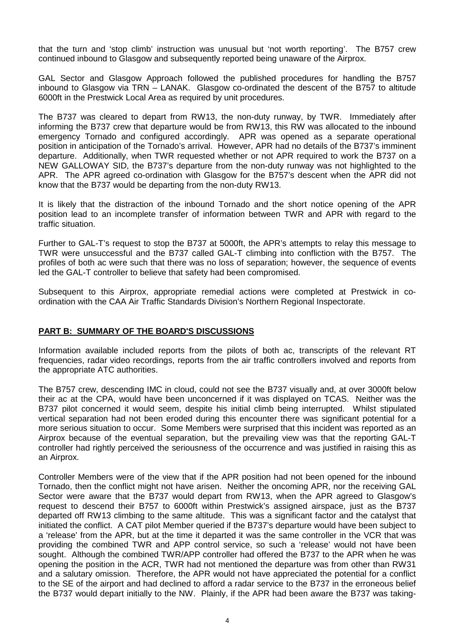that the turn and 'stop climb' instruction was unusual but 'not worth reporting'. The B757 crew continued inbound to Glasgow and subsequently reported being unaware of the Airprox.

GAL Sector and Glasgow Approach followed the published procedures for handling the B757 inbound to Glasgow via TRN – LANAK. Glasgow co-ordinated the descent of the B757 to altitude 6000ft in the Prestwick Local Area as required by unit procedures.

The B737 was cleared to depart from RW13, the non-duty runway, by TWR. Immediately after informing the B737 crew that departure would be from RW13, this RW was allocated to the inbound emergency Tornado and configured accordingly. APR was opened as a separate operational position in anticipation of the Tornado's arrival. However, APR had no details of the B737's imminent departure. Additionally, when TWR requested whether or not APR required to work the B737 on a NEW GALLOWAY SID, the B737's departure from the non-duty runway was not highlighted to the APR. The APR agreed co-ordination with Glasgow for the B757's descent when the APR did not know that the B737 would be departing from the non-duty RW13.

It is likely that the distraction of the inbound Tornado and the short notice opening of the APR position lead to an incomplete transfer of information between TWR and APR with regard to the traffic situation.

Further to GAL-T's request to stop the B737 at 5000ft, the APR's attempts to relay this message to TWR were unsuccessful and the B737 called GAL-T climbing into confliction with the B757. The profiles of both ac were such that there was no loss of separation; however, the sequence of events led the GAL-T controller to believe that safety had been compromised.

Subsequent to this Airprox, appropriate remedial actions were completed at Prestwick in coordination with the CAA Air Traffic Standards Division's Northern Regional Inspectorate.

### **PART B: SUMMARY OF THE BOARD'S DISCUSSIONS**

Information available included reports from the pilots of both ac, transcripts of the relevant RT frequencies, radar video recordings, reports from the air traffic controllers involved and reports from the appropriate ATC authorities.

The B757 crew, descending IMC in cloud, could not see the B737 visually and, at over 3000ft below their ac at the CPA, would have been unconcerned if it was displayed on TCAS. Neither was the B737 pilot concerned it would seem, despite his initial climb being interrupted. Whilst stipulated vertical separation had not been eroded during this encounter there was significant potential for a more serious situation to occur. Some Members were surprised that this incident was reported as an Airprox because of the eventual separation, but the prevailing view was that the reporting GAL-T controller had rightly perceived the seriousness of the occurrence and was justified in raising this as an Airprox.

Controller Members were of the view that if the APR position had not been opened for the inbound Tornado, then the conflict might not have arisen. Neither the oncoming APR, nor the receiving GAL Sector were aware that the B737 would depart from RW13, when the APR agreed to Glasgow's request to descend their B757 to 6000ft within Prestwick's assigned airspace, just as the B737 departed off RW13 climbing to the same altitude. This was a significant factor and the catalyst that initiated the conflict. A CAT pilot Member queried if the B737's departure would have been subject to a 'release' from the APR, but at the time it departed it was the same controller in the VCR that was providing the combined TWR and APP control service, so such a 'release' would not have been sought. Although the combined TWR/APP controller had offered the B737 to the APR when he was opening the position in the ACR, TWR had not mentioned the departure was from other than RW31 and a salutary omission. Therefore, the APR would not have appreciated the potential for a conflict to the SE of the airport and had declined to afford a radar service to the B737 in the erroneous belief the B737 would depart initially to the NW. Plainly, if the APR had been aware the B737 was taking